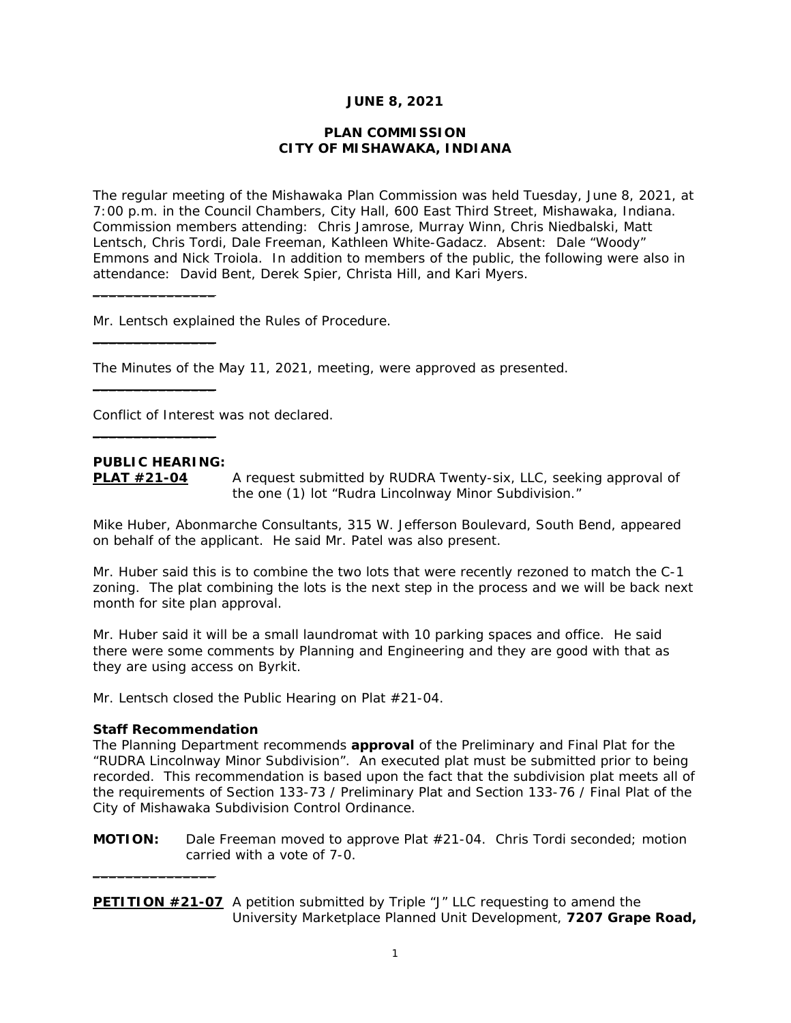### **JUNE 8, 2021**

### **PLAN COMMISSION CITY OF MISHAWAKA, INDIANA**

The regular meeting of the Mishawaka Plan Commission was held Tuesday, June 8, 2021, at 7:00 p.m. in the Council Chambers, City Hall, 600 East Third Street, Mishawaka, Indiana. Commission members attending: Chris Jamrose, Murray Winn, Chris Niedbalski, Matt Lentsch, Chris Tordi, Dale Freeman, Kathleen White-Gadacz. Absent: Dale "Woody" Emmons and Nick Troiola. In addition to members of the public, the following were also in attendance: David Bent, Derek Spier, Christa Hill, and Kari Myers.

Mr. Lentsch explained the Rules of Procedure.

The Minutes of the May 11, 2021, meeting, were approved as presented.

Conflict of Interest was not declared.

## **PUBLIC HEARING:**

 $\overline{\phantom{a}}$  , where the contract of the contract of the contract of the contract of the contract of the contract of the contract of the contract of the contract of the contract of the contract of the contract of the contr

 $\_$ 

 $\_$ 

 $\_$ 

**PLAT #21-04** A request submitted by RUDRA Twenty-six, LLC, seeking approval of the one (1) lot "Rudra Lincolnway Minor Subdivision."

Mike Huber, Abonmarche Consultants, 315 W. Jefferson Boulevard, South Bend, appeared on behalf of the applicant. He said Mr. Patel was also present.

Mr. Huber said this is to combine the two lots that were recently rezoned to match the C-1 zoning. The plat combining the lots is the next step in the process and we will be back next month for site plan approval.

Mr. Huber said it will be a small laundromat with 10 parking spaces and office. He said there were some comments by Planning and Engineering and they are good with that as they are using access on Byrkit.

Mr. Lentsch closed the Public Hearing on Plat #21-04.

#### **Staff Recommendation**

 $\_$ 

*The Planning Department recommends approval of the Preliminary and Final Plat for the "RUDRA Lincolnway Minor Subdivision". An executed plat must be submitted prior to being*  recorded. This recommendation is based upon the fact that the subdivision plat meets all of *the requirements of Section 133-73 / Preliminary Plat and Section 133-76 / Final Plat of the City of Mishawaka Subdivision Control Ordinance.* 

**MOTION:** Dale Freeman moved to approve Plat #21-04. Chris Tordi seconded; motion carried with a vote of 7-0.

**PETITION #21-07** A petition submitted by Triple "J" LLC requesting to amend the University Marketplace Planned Unit Development, **7207 Grape Road,**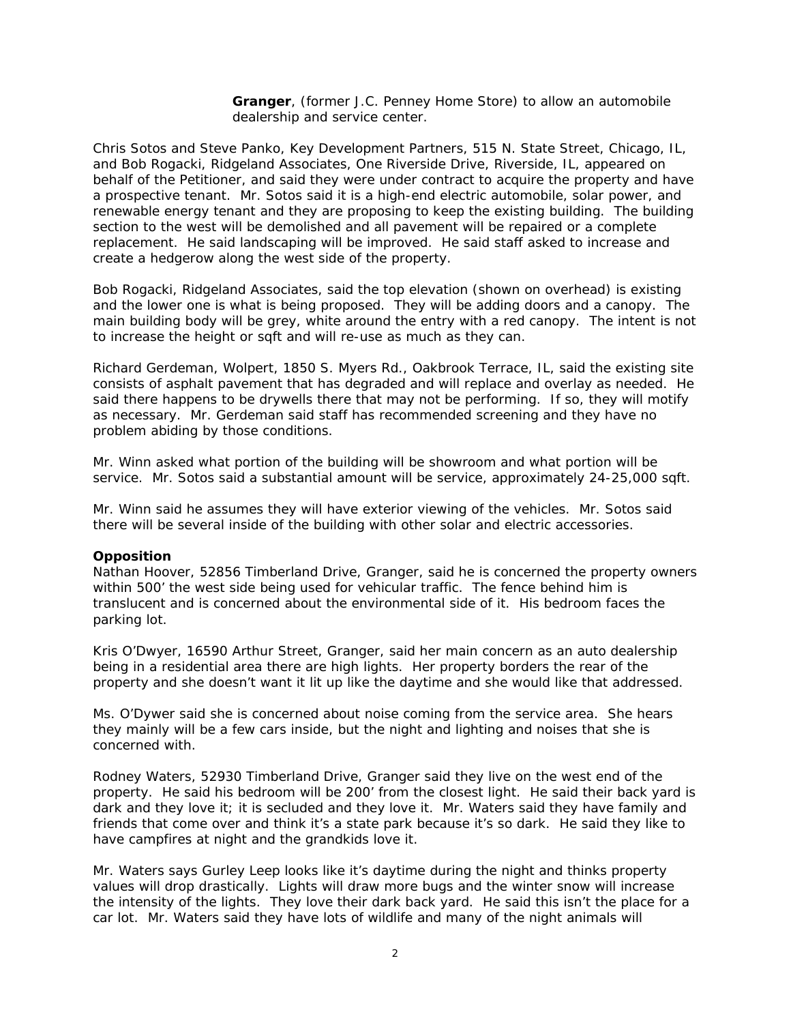**Granger**, (former J.C. Penney Home Store) to allow an automobile dealership and service center.

Chris Sotos and Steve Panko, Key Development Partners, 515 N. State Street, Chicago, IL, and Bob Rogacki, Ridgeland Associates, One Riverside Drive, Riverside, IL, appeared on behalf of the Petitioner, and said they were under contract to acquire the property and have a prospective tenant. Mr. Sotos said it is a high-end electric automobile, solar power, and renewable energy tenant and they are proposing to keep the existing building. The building section to the west will be demolished and all pavement will be repaired or a complete replacement. He said landscaping will be improved. He said staff asked to increase and create a hedgerow along the west side of the property.

Bob Rogacki, Ridgeland Associates, said the top elevation (shown on overhead) is existing and the lower one is what is being proposed. They will be adding doors and a canopy. The main building body will be grey, white around the entry with a red canopy. The intent is not to increase the height or sqft and will re-use as much as they can.

Richard Gerdeman, Wolpert, 1850 S. Myers Rd., Oakbrook Terrace, IL, said the existing site consists of asphalt pavement that has degraded and will replace and overlay as needed. He said there happens to be drywells there that may not be performing. If so, they will motify as necessary. Mr. Gerdeman said staff has recommended screening and they have no problem abiding by those conditions.

Mr. Winn asked what portion of the building will be showroom and what portion will be service. Mr. Sotos said a substantial amount will be service, approximately 24-25,000 sqft.

Mr. Winn said he assumes they will have exterior viewing of the vehicles. Mr. Sotos said there will be several inside of the building with other solar and electric accessories.

#### **Opposition**

Nathan Hoover, 52856 Timberland Drive, Granger, said he is concerned the property owners within 500' the west side being used for vehicular traffic. The fence behind him is translucent and is concerned about the environmental side of it. His bedroom faces the parking lot.

Kris O'Dwyer, 16590 Arthur Street, Granger, said her main concern as an auto dealership being in a residential area there are high lights. Her property borders the rear of the property and she doesn't want it lit up like the daytime and she would like that addressed.

Ms. O'Dywer said she is concerned about noise coming from the service area. She hears they mainly will be a few cars inside, but the night and lighting and noises that she is concerned with.

Rodney Waters, 52930 Timberland Drive, Granger said they live on the west end of the property. He said his bedroom will be 200' from the closest light. He said their back yard is dark and they love it; it is secluded and they love it. Mr. Waters said they have family and friends that come over and think it's a state park because it's so dark. He said they like to have campfires at night and the grandkids love it.

Mr. Waters says Gurley Leep looks like it's daytime during the night and thinks property values will drop drastically. Lights will draw more bugs and the winter snow will increase the intensity of the lights. They love their dark back yard. He said this isn't the place for a car lot. Mr. Waters said they have lots of wildlife and many of the night animals will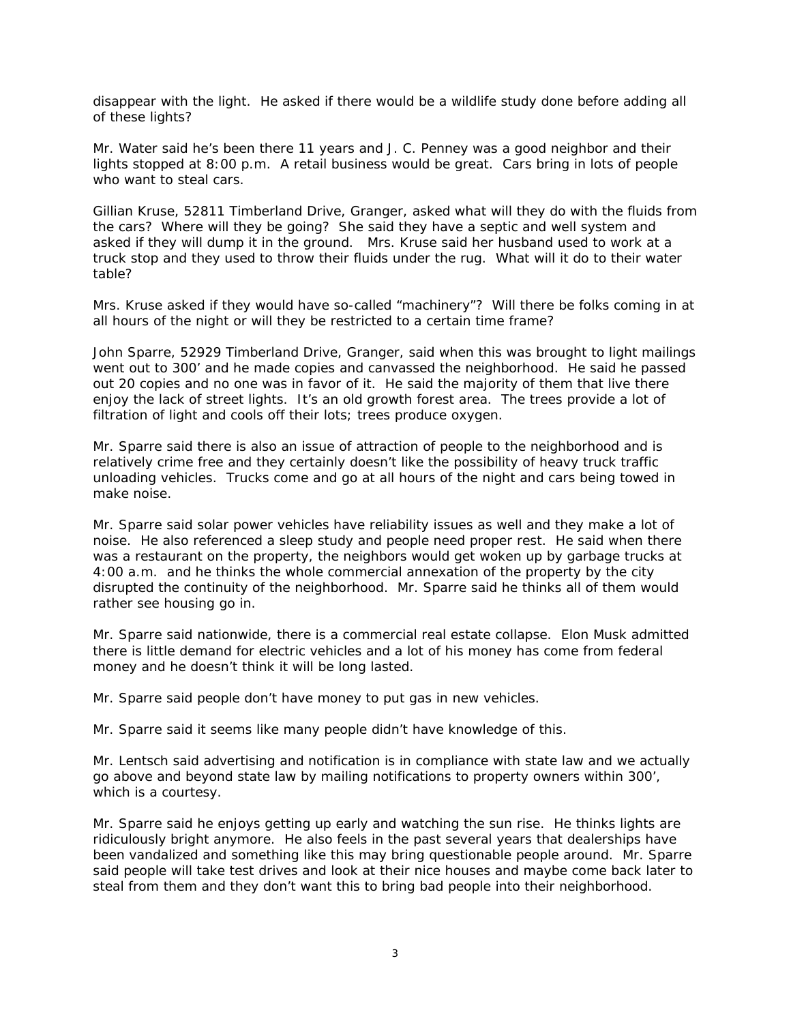disappear with the light. He asked if there would be a wildlife study done before adding all of these lights?

Mr. Water said he's been there 11 years and J. C. Penney was a good neighbor and their lights stopped at 8:00 p.m. A retail business would be great. Cars bring in lots of people who want to steal cars.

Gillian Kruse, 52811 Timberland Drive, Granger, asked what will they do with the fluids from the cars? Where will they be going? She said they have a septic and well system and asked if they will dump it in the ground. Mrs. Kruse said her husband used to work at a truck stop and they used to throw their fluids under the rug. What will it do to their water table?

Mrs. Kruse asked if they would have so-called "machinery"? Will there be folks coming in at all hours of the night or will they be restricted to a certain time frame?

John Sparre, 52929 Timberland Drive, Granger, said when this was brought to light mailings went out to 300' and he made copies and canvassed the neighborhood. He said he passed out 20 copies and no one was in favor of it. He said the majority of them that live there enjoy the lack of street lights. It's an old growth forest area. The trees provide a lot of filtration of light and cools off their lots; trees produce oxygen.

Mr. Sparre said there is also an issue of attraction of people to the neighborhood and is relatively crime free and they certainly doesn't like the possibility of heavy truck traffic unloading vehicles. Trucks come and go at all hours of the night and cars being towed in make noise.

Mr. Sparre said solar power vehicles have reliability issues as well and they make a lot of noise. He also referenced a sleep study and people need proper rest. He said when there was a restaurant on the property, the neighbors would get woken up by garbage trucks at 4:00 a.m. and he thinks the whole commercial annexation of the property by the city disrupted the continuity of the neighborhood. Mr. Sparre said he thinks all of them would rather see housing go in.

Mr. Sparre said nationwide, there is a commercial real estate collapse. Elon Musk admitted there is little demand for electric vehicles and a lot of his money has come from federal money and he doesn't think it will be long lasted.

Mr. Sparre said people don't have money to put gas in new vehicles.

Mr. Sparre said it seems like many people didn't have knowledge of this.

Mr. Lentsch said advertising and notification is in compliance with state law and we actually go above and beyond state law by mailing notifications to property owners within 300', which is a courtesy.

Mr. Sparre said he enjoys getting up early and watching the sun rise. He thinks lights are ridiculously bright anymore. He also feels in the past several years that dealerships have been vandalized and something like this may bring questionable people around. Mr. Sparre said people will take test drives and look at their nice houses and maybe come back later to steal from them and they don't want this to bring bad people into their neighborhood.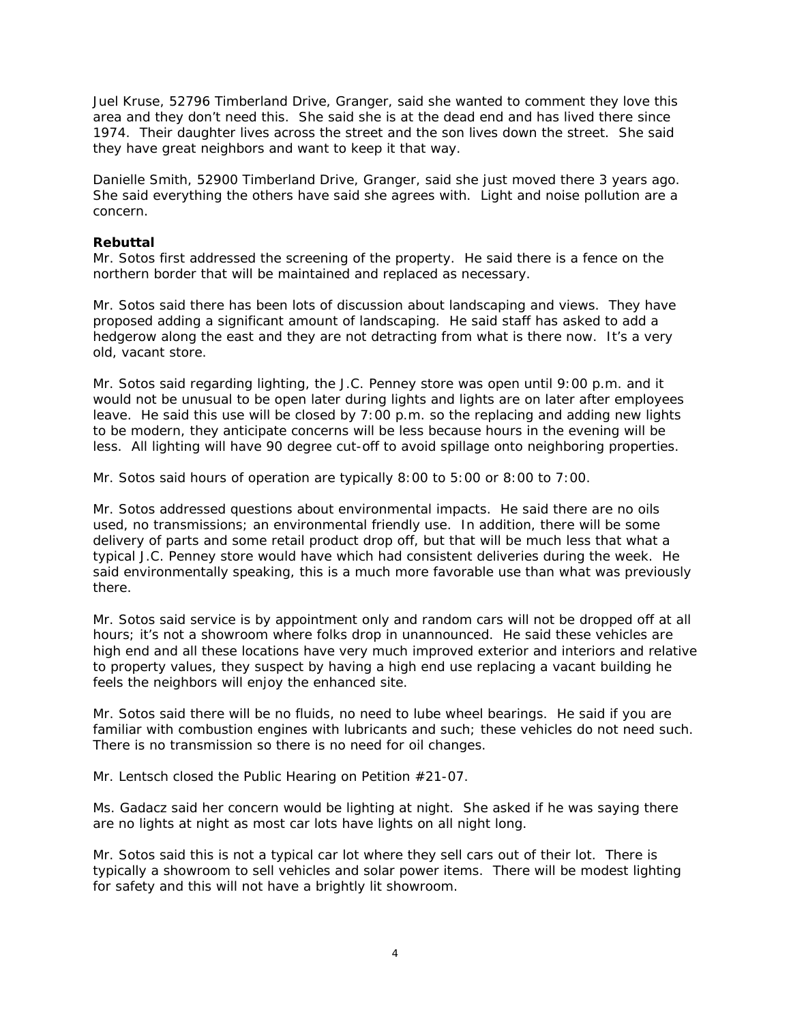Juel Kruse, 52796 Timberland Drive, Granger, said she wanted to comment they love this area and they don't need this. She said she is at the dead end and has lived there since 1974. Their daughter lives across the street and the son lives down the street. She said they have great neighbors and want to keep it that way.

Danielle Smith, 52900 Timberland Drive, Granger, said she just moved there 3 years ago. She said everything the others have said she agrees with. Light and noise pollution are a concern.

### **Rebuttal**

Mr. Sotos first addressed the screening of the property. He said there is a fence on the northern border that will be maintained and replaced as necessary.

Mr. Sotos said there has been lots of discussion about landscaping and views. They have proposed adding a significant amount of landscaping. He said staff has asked to add a hedgerow along the east and they are not detracting from what is there now. It's a very old, vacant store.

Mr. Sotos said regarding lighting, the J.C. Penney store was open until 9:00 p.m. and it would not be unusual to be open later during lights and lights are on later after employees leave. He said this use will be closed by 7:00 p.m. so the replacing and adding new lights to be modern, they anticipate concerns will be less because hours in the evening will be less. All lighting will have 90 degree cut-off to avoid spillage onto neighboring properties.

Mr. Sotos said hours of operation are typically 8:00 to 5:00 or 8:00 to 7:00.

Mr. Sotos addressed questions about environmental impacts. He said there are no oils used, no transmissions; an environmental friendly use. In addition, there will be some delivery of parts and some retail product drop off, but that will be much less that what a typical J.C. Penney store would have which had consistent deliveries during the week. He said environmentally speaking, this is a much more favorable use than what was previously there.

Mr. Sotos said service is by appointment only and random cars will not be dropped off at all hours; it's not a showroom where folks drop in unannounced. He said these vehicles are high end and all these locations have very much improved exterior and interiors and relative to property values, they suspect by having a high end use replacing a vacant building he feels the neighbors will enjoy the enhanced site.

Mr. Sotos said there will be no fluids, no need to lube wheel bearings. He said if you are familiar with combustion engines with lubricants and such; these vehicles do not need such. There is no transmission so there is no need for oil changes.

Mr. Lentsch closed the Public Hearing on Petition #21-07.

Ms. Gadacz said her concern would be lighting at night. She asked if he was saying there are no lights at night as most car lots have lights on all night long.

Mr. Sotos said this is not a typical car lot where they sell cars out of their lot. There is typically a showroom to sell vehicles and solar power items. There will be modest lighting for safety and this will not have a brightly lit showroom.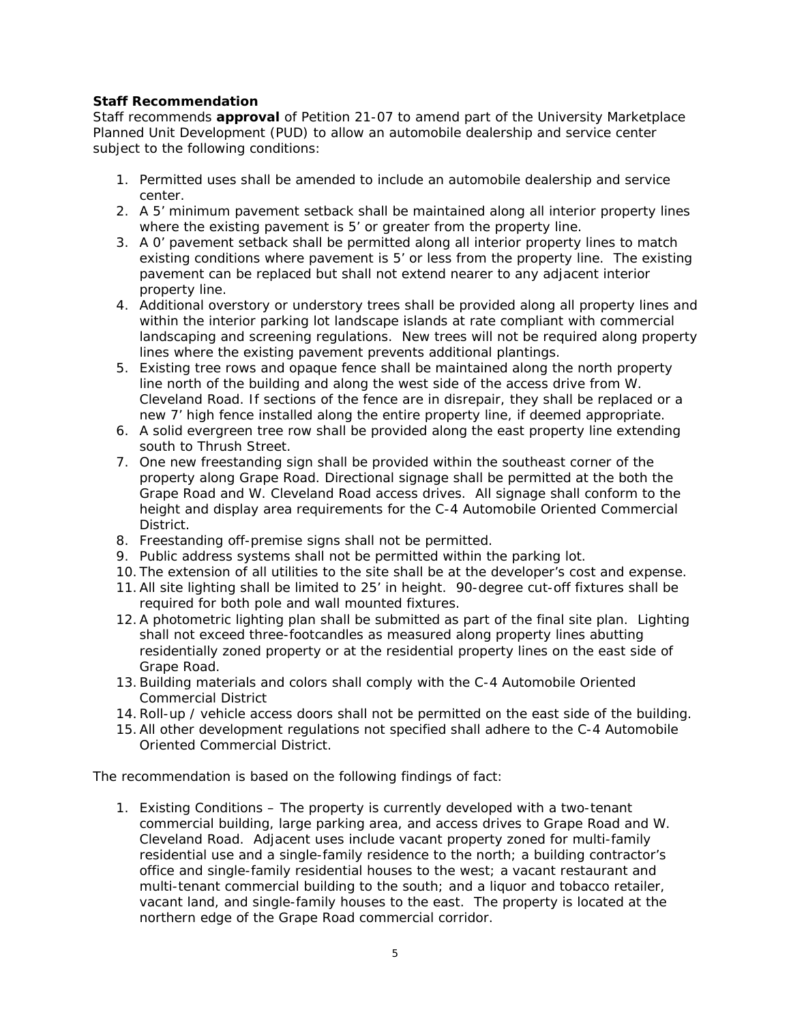# **Staff Recommendation**

*Staff recommends approval of Petition 21-07 to amend part of the University Marketplace Planned Unit Development (PUD) to allow an automobile dealership and service center subject to the following conditions:* 

- *1. Permitted uses shall be amended to include an automobile dealership and service center.*
- *2. A 5' minimum pavement setback shall be maintained along all interior property lines where the existing pavement is 5' or greater from the property line.*
- *3. A 0' pavement setback shall be permitted along all interior property lines to match existing conditions where pavement is 5' or less from the property line. The existing pavement can be replaced but shall not extend nearer to any adjacent interior property line.*
- *4. Additional overstory or understory trees shall be provided along all property lines and within the interior parking lot landscape islands at rate compliant with commercial landscaping and screening regulations. New trees will not be required along property lines where the existing pavement prevents additional plantings.*
- *5. Existing tree rows and opaque fence shall be maintained along the north property line north of the building and along the west side of the access drive from W. Cleveland Road. If sections of the fence are in disrepair, they shall be replaced or a new 7' high fence installed along the entire property line, if deemed appropriate.*
- *6. A solid evergreen tree row shall be provided along the east property line extending south to Thrush Street.*
- *7. One new freestanding sign shall be provided within the southeast corner of the property along Grape Road. Directional signage shall be permitted at the both the Grape Road and W. Cleveland Road access drives. All signage shall conform to the height and display area requirements for the C-4 Automobile Oriented Commercial District.*
- *8. Freestanding off-premise signs shall not be permitted.*
- *9. Public address systems shall not be permitted within the parking lot.*
- *10. The extension of all utilities to the site shall be at the developer's cost and expense.*
- *11.All site lighting shall be limited to 25' in height. 90-degree cut-off fixtures shall be required for both pole and wall mounted fixtures.*
- 12. A photometric lighting plan shall be submitted as part of the final site plan. Lighting *shall not exceed three-footcandles as measured along property lines abutting residentially zoned property or at the residential property lines on the east side of Grape Road.*
- *13.Building materials and colors shall comply with the C-4 Automobile Oriented Commercial District*
- *14.Roll-up / vehicle access doors shall not be permitted on the east side of the building.*
- *15.All other development regulations not specified shall adhere to the C-4 Automobile Oriented Commercial District.*

*The recommendation is based on the following findings of fact:* 

*1. Existing Conditions – The property is currently developed with a two-tenant commercial building, large parking area, and access drives to Grape Road and W. Cleveland Road. Adjacent uses include vacant property zoned for multi-family residential use and a single-family residence to the north; a building contractor's office and single-family residential houses to the west; a vacant restaurant and multi-tenant commercial building to the south; and a liquor and tobacco retailer, vacant land, and single-family houses to the east. The property is located at the northern edge of the Grape Road commercial corridor.*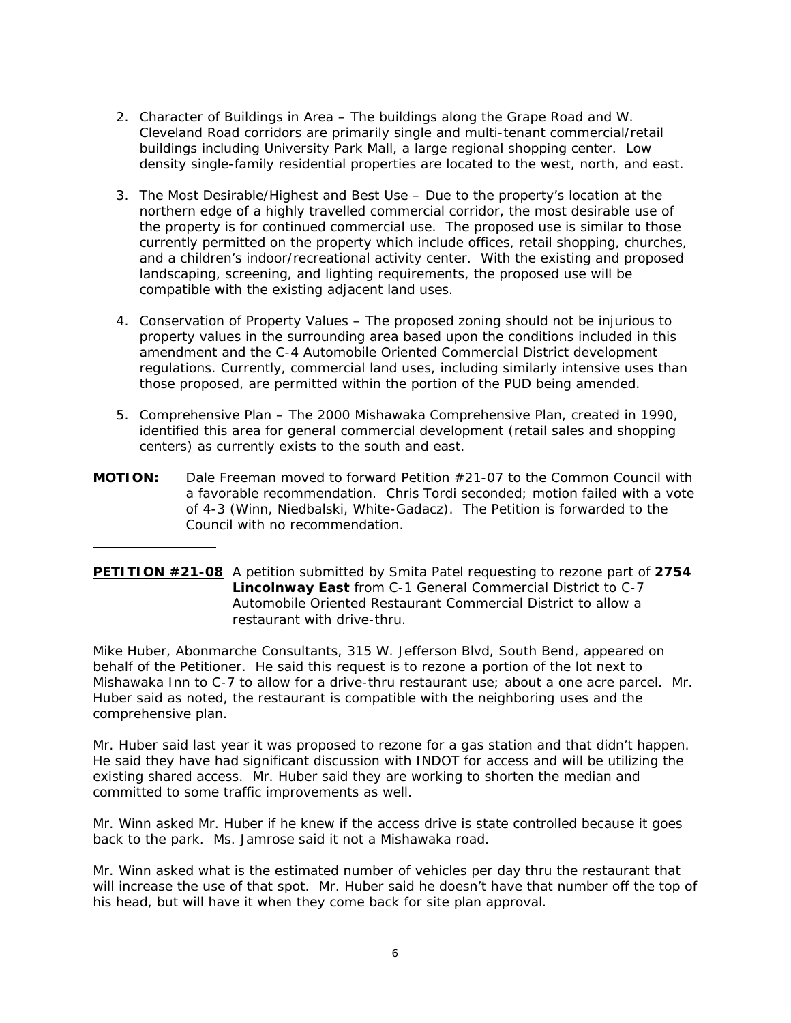- *2. Character of Buildings in Area The buildings along the Grape Road and W. Cleveland Road corridors are primarily single and multi-tenant commercial/retail buildings including University Park Mall, a large regional shopping center. Low density single-family residential properties are located to the west, north, and east.*
- *3. The Most Desirable/Highest and Best Use Due to the property's location at the northern edge of a highly travelled commercial corridor, the most desirable use of the property is for continued commercial use. The proposed use is similar to those currently permitted on the property which include offices, retail shopping, churches, and a children's indoor/recreational activity center. With the existing and proposed landscaping, screening, and lighting requirements, the proposed use will be compatible with the existing adjacent land uses.*
- *4. Conservation of Property Values The proposed zoning should not be injurious to property values in the surrounding area based upon the conditions included in this amendment and the C-4 Automobile Oriented Commercial District development regulations. Currently, commercial land uses, including similarly intensive uses than those proposed, are permitted within the portion of the PUD being amended.*
- 5. *Comprehensive Plan The 2000 Mishawaka Comprehensive Plan, created in 1990, identified this area for general commercial development (retail sales and shopping centers) as currently exists to the south and east.*
- **MOTION:** Dale Freeman moved to forward Petition #21-07 to the Common Council with a favorable recommendation. Chris Tordi seconded; motion failed with a vote of 4-3 (Winn, Niedbalski, White-Gadacz). The Petition is forwarded to the Council with *no recommendation.*

 $\_$ 

**PETITION #21-08** A petition submitted by Smita Patel requesting to rezone part of **2754 Lincolnway East** from C-1 General Commercial District to C-7 Automobile Oriented Restaurant Commercial District to allow a restaurant with drive-thru.

Mike Huber, Abonmarche Consultants, 315 W. Jefferson Blvd, South Bend, appeared on behalf of the Petitioner. He said this request is to rezone a portion of the lot next to Mishawaka Inn to C-7 to allow for a drive-thru restaurant use; about a one acre parcel. Mr. Huber said as noted, the restaurant is compatible with the neighboring uses and the comprehensive plan.

Mr. Huber said last year it was proposed to rezone for a gas station and that didn't happen. He said they have had significant discussion with INDOT for access and will be utilizing the existing shared access. Mr. Huber said they are working to shorten the median and committed to some traffic improvements as well.

Mr. Winn asked Mr. Huber if he knew if the access drive is state controlled because it goes back to the park. Ms. Jamrose said it not a Mishawaka road.

Mr. Winn asked what is the estimated number of vehicles per day thru the restaurant that will increase the use of that spot. Mr. Huber said he doesn't have that number off the top of his head, but will have it when they come back for site plan approval.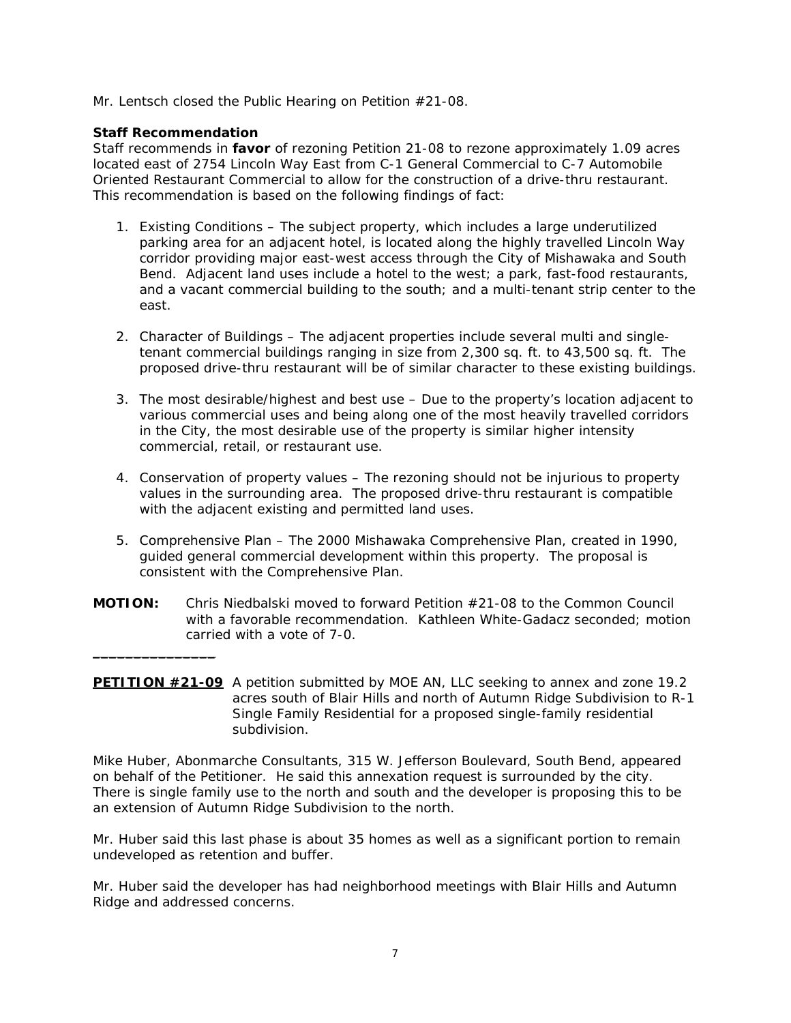Mr. Lentsch closed the Public Hearing on Petition #21-08.

## **Staff Recommendation**

 $\_$ 

*Staff recommends in favor of rezoning Petition 21-08 to rezone approximately 1.09 acres located east of 2754 Lincoln Way East from C-1 General Commercial to C-7 Automobile Oriented Restaurant Commercial to allow for the construction of a drive-thru restaurant. This recommendation is based on the following findings of fact:* 

- *1. Existing Conditions The subject property, which includes a large underutilized parking area for an adjacent hotel, is located along the highly travelled Lincoln Way corridor providing major east-west access through the City of Mishawaka and South Bend. Adjacent land uses include a hotel to the west; a park, fast-food restaurants, and a vacant commercial building to the south; and a multi-tenant strip center to the east.*
- *2. Character of Buildings The adjacent properties include several multi and singletenant commercial buildings ranging in size from 2,300 sq. ft. to 43,500 sq. ft. The proposed drive-thru restaurant will be of similar character to these existing buildings.*
- *3. The most desirable/highest and best use Due to the property's location adjacent to various commercial uses and being along one of the most heavily travelled corridors in the City, the most desirable use of the property is similar higher intensity commercial, retail, or restaurant use.*
- *4. Conservation of property values The rezoning should not be injurious to property values in the surrounding area. The proposed drive-thru restaurant is compatible with the adjacent existing and permitted land uses.*
- *5. Comprehensive Plan The 2000 Mishawaka Comprehensive Plan, created in 1990, guided general commercial development within this property. The proposal is consistent with the Comprehensive Plan.*
- **MOTION:** Chris Niedbalski moved to forward Petition #21-08 to the Common Council with a favorable recommendation. Kathleen White-Gadacz seconded; motion carried with a vote of 7-0.
- **PETITION #21-09** A petition submitted by MOE AN, LLC seeking to annex and zone 19.2 acres south of Blair Hills and north of Autumn Ridge Subdivision to R-1 Single Family Residential for a proposed single-family residential subdivision.

Mike Huber, Abonmarche Consultants, 315 W. Jefferson Boulevard, South Bend, appeared on behalf of the Petitioner. He said this annexation request is surrounded by the city. There is single family use to the north and south and the developer is proposing this to be an extension of Autumn Ridge Subdivision to the north.

Mr. Huber said this last phase is about 35 homes as well as a significant portion to remain undeveloped as retention and buffer.

Mr. Huber said the developer has had neighborhood meetings with Blair Hills and Autumn Ridge and addressed concerns.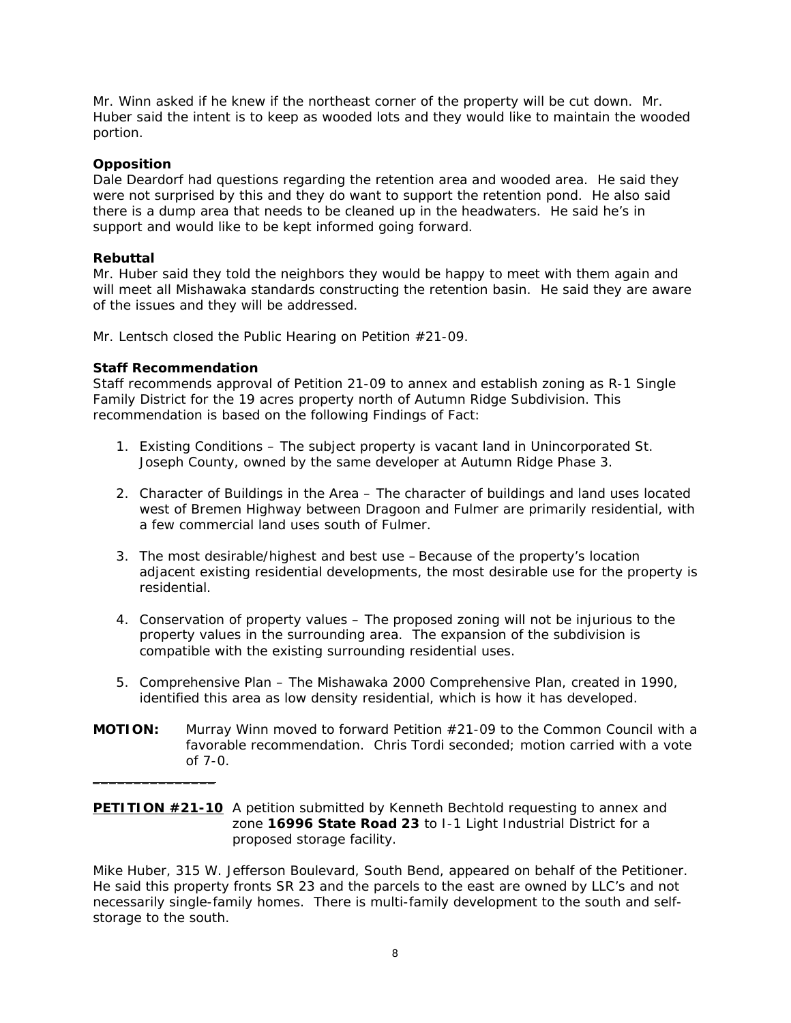Mr. Winn asked if he knew if the northeast corner of the property will be cut down. Mr. Huber said the intent is to keep as wooded lots and they would like to maintain the wooded portion.

## **Opposition**

Dale Deardorf had questions regarding the retention area and wooded area. He said they were not surprised by this and they do want to support the retention pond. He also said there is a dump area that needs to be cleaned up in the headwaters. He said he's in support and would like to be kept informed going forward.

## **Rebuttal**

Mr. Huber said they told the neighbors they would be happy to meet with them again and will meet all Mishawaka standards constructing the retention basin. He said they are aware of the issues and they will be addressed.

Mr. Lentsch closed the Public Hearing on Petition #21-09.

## **Staff Recommendation**

 $\overline{\phantom{a}}$  , where the contract of the contract of the contract of the contract of the contract of the contract of the contract of the contract of the contract of the contract of the contract of the contract of the contr

*Staff recommends approval of Petition 21-09 to annex and establish zoning as R-1 Single Family District for the 19 acres property north of Autumn Ridge Subdivision. This recommendation is based on the following Findings of Fact:* 

- *1. Existing Conditions The subject property is vacant land in Unincorporated St. Joseph County, owned by the same developer at Autumn Ridge Phase 3.*
- *2. Character of Buildings in the Area The character of buildings and land uses located west of Bremen Highway between Dragoon and Fulmer are primarily residential, with a few commercial land uses south of Fulmer.*
- *3. The most desirable/highest and best use Because of the property's location adjacent existing residential developments, the most desirable use for the property is residential.*
- *4. Conservation of property values The proposed zoning will not be injurious to the property values in the surrounding area. The expansion of the subdivision is compatible with the existing surrounding residential uses.*
- 5. *Comprehensive Plan The Mishawaka 2000 Comprehensive Plan, created in 1990, identified this area as low density residential, which is how it has developed.*
- **MOTION:** Murray Winn moved to forward Petition #21-09 to the Common Council with a favorable recommendation. Chris Tordi seconded; motion carried with a vote of 7-0.

**PETITION #21-10** A petition submitted by Kenneth Bechtold requesting to annex and zone **16996 State Road 23** to I-1 Light Industrial District for a proposed storage facility.

Mike Huber, 315 W. Jefferson Boulevard, South Bend, appeared on behalf of the Petitioner. He said this property fronts SR 23 and the parcels to the east are owned by LLC's and not necessarily single-family homes. There is multi-family development to the south and selfstorage to the south.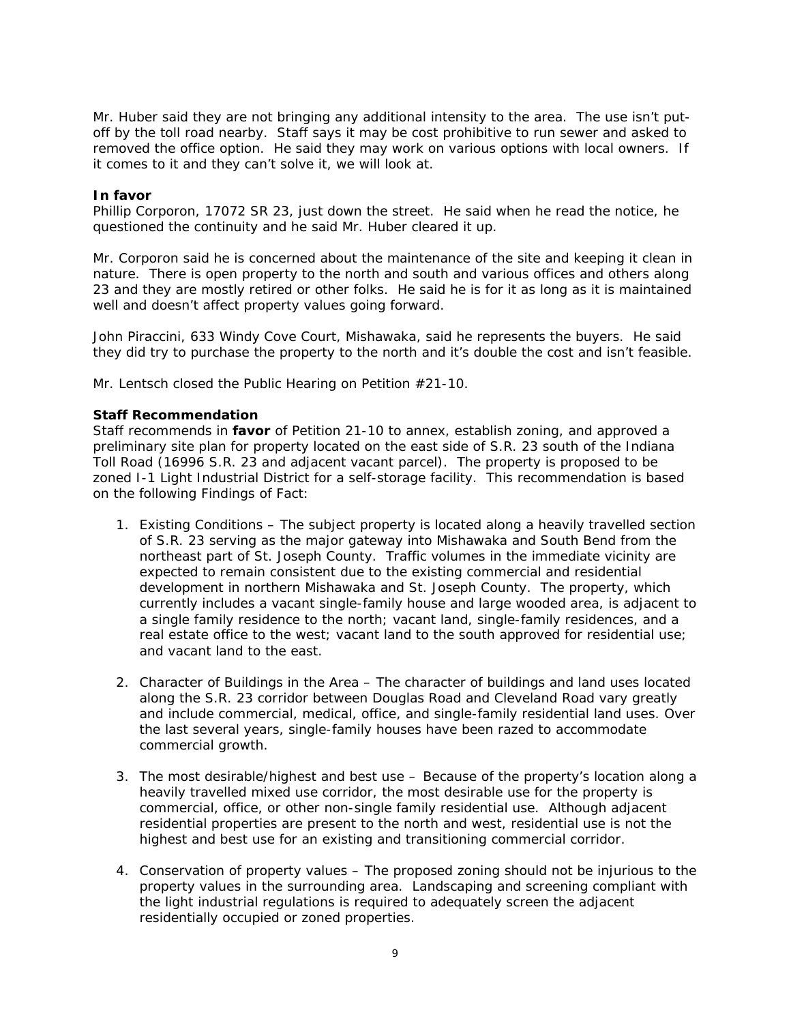Mr. Huber said they are not bringing any additional intensity to the area. The use isn't putoff by the toll road nearby. Staff says it may be cost prohibitive to run sewer and asked to removed the office option. He said they may work on various options with local owners. If it comes to it and they can't solve it, we will look at.

#### **In favor**

Phillip Corporon, 17072 SR 23, just down the street. He said when he read the notice, he questioned the continuity and he said Mr. Huber cleared it up.

Mr. Corporon said he is concerned about the maintenance of the site and keeping it clean in nature. There is open property to the north and south and various offices and others along 23 and they are mostly retired or other folks. He said he is for it as long as it is maintained well and doesn't affect property values going forward.

John Piraccini, 633 Windy Cove Court, Mishawaka, said he represents the buyers. He said they did try to purchase the property to the north and it's double the cost and isn't feasible.

Mr. Lentsch closed the Public Hearing on Petition #21-10.

### **Staff Recommendation**

*Staff recommends in favor of Petition 21-10 to annex, establish zoning, and approved a preliminary site plan for property located on the east side of S.R. 23 south of the Indiana Toll Road (16996 S.R. 23 and adjacent vacant parcel). The property is proposed to be zoned I-1 Light Industrial District for a self-storage facility. This recommendation is based on the following Findings of Fact:* 

- *1. Existing Conditions The subject property is located along a heavily travelled section of S.R. 23 serving as the major gateway into Mishawaka and South Bend from the northeast part of St. Joseph County. Traffic volumes in the immediate vicinity are expected to remain consistent due to the existing commercial and residential development in northern Mishawaka and St. Joseph County. The property, which currently includes a vacant single-family house and large wooded area, is adjacent to a single family residence to the north; vacant land, single-family residences, and a real estate office to the west; vacant land to the south approved for residential use; and vacant land to the east.*
- *2. Character of Buildings in the Area The character of buildings and land uses located along the S.R. 23 corridor between Douglas Road and Cleveland Road vary greatly and include commercial, medical, office, and single-family residential land uses. Over the last several years, single-family houses have been razed to accommodate commercial growth.*
- *3. The most desirable/highest and best use Because of the property's location along a heavily travelled mixed use corridor, the most desirable use for the property is commercial, office, or other non-single family residential use. Although adjacent residential properties are present to the north and west, residential use is not the highest and best use for an existing and transitioning commercial corridor.*
- *4. Conservation of property values The proposed zoning should not be injurious to the property values in the surrounding area. Landscaping and screening compliant with the light industrial regulations is required to adequately screen the adjacent residentially occupied or zoned properties.*